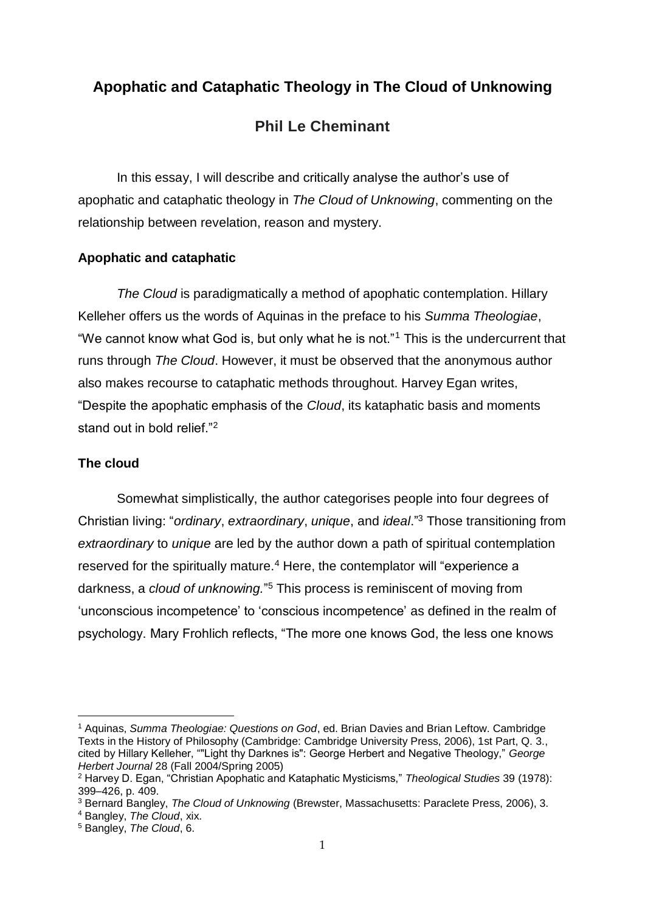# **Apophatic and Cataphatic Theology in The Cloud of Unknowing**

## **Phil Le Cheminant**

In this essay, I will describe and critically analyse the author's use of apophatic and cataphatic theology in *The Cloud of Unknowing*, commenting on the relationship between revelation, reason and mystery.

### **Apophatic and cataphatic**

*The Cloud* is paradigmatically a method of apophatic contemplation. Hillary Kelleher offers us the words of Aquinas in the preface to his *Summa Theologiae*, "We cannot know what God is, but only what he is not."<sup>1</sup> This is the undercurrent that runs through *The Cloud*. However, it must be observed that the anonymous author also makes recourse to cataphatic methods throughout. Harvey Egan writes, "Despite the apophatic emphasis of the *Cloud*, its kataphatic basis and moments stand out in bold relief."<sup>2</sup>

### **The cloud**

Somewhat simplistically, the author categorises people into four degrees of Christian living: "*ordinary*, *extraordinary*, *unique*, and *ideal*."<sup>3</sup> Those transitioning from *extraordinary* to *unique* are led by the author down a path of spiritual contemplation reserved for the spiritually mature.<sup>4</sup> Here, the contemplator will "experience a darkness, a *cloud of unknowing.*" <sup>5</sup> This process is reminiscent of moving from 'unconscious incompetence' to 'conscious incompetence' as defined in the realm of psychology. Mary Frohlich reflects, "The more one knows God, the less one knows

<sup>1</sup> Aquinas, *Summa Theologiae: Questions on God*, ed. Brian Davies and Brian Leftow. Cambridge Texts in the History of Philosophy (Cambridge: Cambridge University Press, 2006), 1st Part, Q. 3., cited by Hillary Kelleher, ""Light thy Darknes is": George Herbert and Negative Theology," *George Herbert Journal* 28 (Fall 2004/Spring 2005)

<sup>2</sup> Harvey D. Egan, "Christian Apophatic and Kataphatic Mysticisms," *Theological Studies* 39 (1978): 399–426, p. 409.

<sup>3</sup> Bernard Bangley, *The Cloud of Unknowing* (Brewster, Massachusetts: Paraclete Press, 2006), 3.

<sup>4</sup> Bangley, *The Cloud*, xix.

<sup>5</sup> Bangley, *The Cloud*, 6.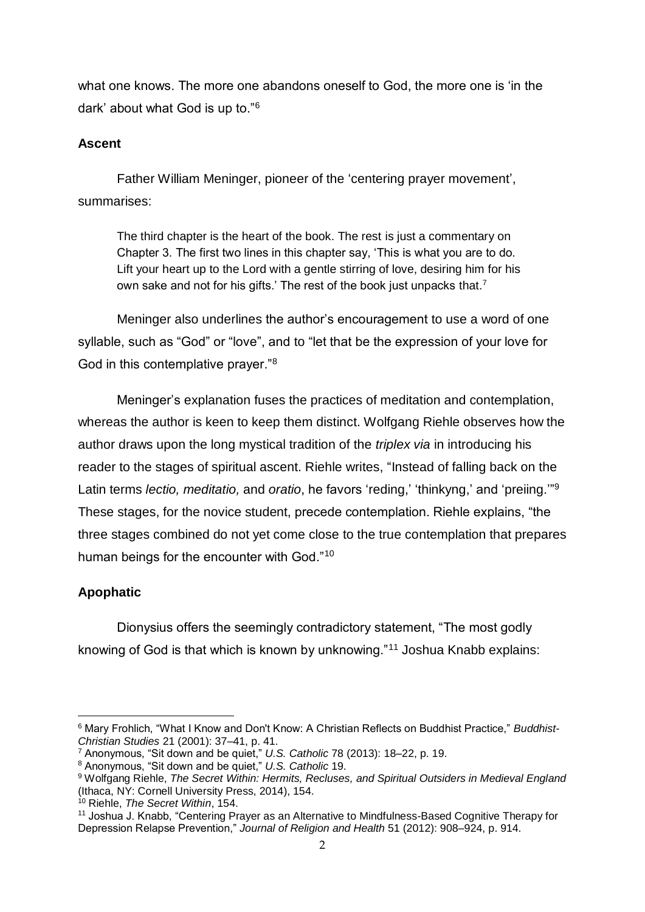what one knows. The more one abandons oneself to God, the more one is 'in the dark' about what God is up to."<sup>6</sup>

### **Ascent**

Father William Meninger, pioneer of the 'centering prayer movement', summarises:

The third chapter is the heart of the book. The rest is just a commentary on Chapter 3. The first two lines in this chapter say, 'This is what you are to do. Lift your heart up to the Lord with a gentle stirring of love, desiring him for his own sake and not for his gifts.' The rest of the book just unpacks that.<sup>7</sup>

Meninger also underlines the author's encouragement to use a word of one syllable, such as "God" or "love", and to "let that be the expression of your love for God in this contemplative prayer."<sup>8</sup>

Meninger's explanation fuses the practices of meditation and contemplation, whereas the author is keen to keep them distinct. Wolfgang Riehle observes how the author draws upon the long mystical tradition of the *triplex via* in introducing his reader to the stages of spiritual ascent. Riehle writes, "Instead of falling back on the Latin terms *lectio, meditatio,* and *oratio*, he favors 'reding,' 'thinkyng,' and 'preiing.'"<sup>9</sup> These stages, for the novice student, precede contemplation. Riehle explains, "the three stages combined do not yet come close to the true contemplation that prepares human beings for the encounter with God."<sup>10</sup>

## **Apophatic**

Dionysius offers the seemingly contradictory statement, "The most godly knowing of God is that which is known by unknowing."<sup>11</sup> Joshua Knabb explains:

<sup>1</sup> <sup>6</sup> Mary Frohlich, "What I Know and Don't Know: A Christian Reflects on Buddhist Practice," *Buddhist-Christian Studies* 21 (2001): 37–41, p. 41.

<sup>7</sup> Anonymous, "Sit down and be quiet," *U.S. Catholic* 78 (2013): 18–22, p. 19.

<sup>8</sup> Anonymous, "Sit down and be quiet," *U.S. Catholic* 19.

<sup>9</sup> Wolfgang Riehle, *The Secret Within: Hermits, Recluses, and Spiritual Outsiders in Medieval England* (Ithaca, NY: Cornell University Press, 2014), 154.

<sup>10</sup> Riehle, *The Secret Within*, 154.

<sup>&</sup>lt;sup>11</sup> Joshua J. Knabb, "Centering Prayer as an Alternative to Mindfulness-Based Cognitive Therapy for Depression Relapse Prevention," *Journal of Religion and Health* 51 (2012): 908–924, p. 914.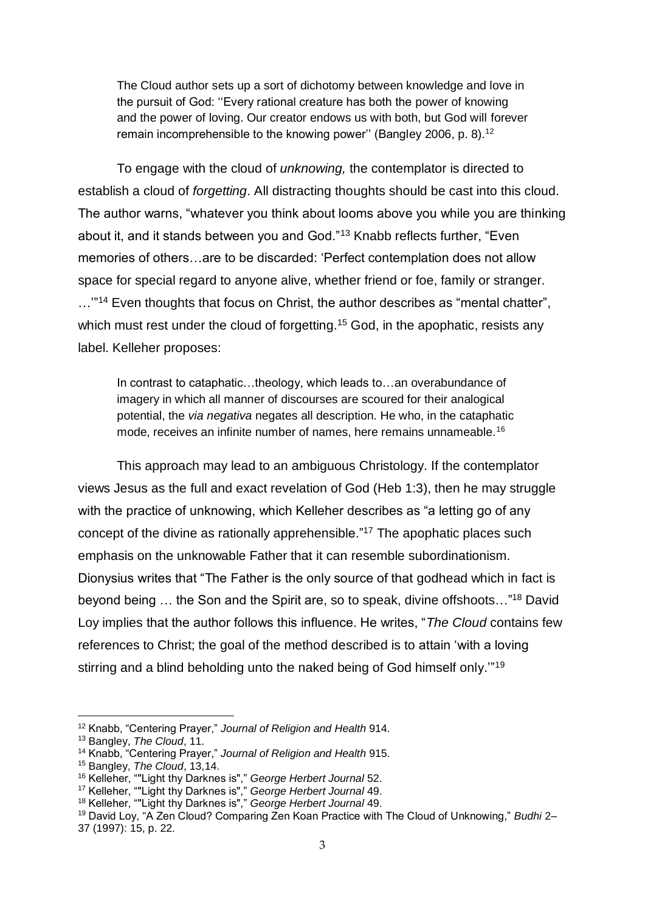The Cloud author sets up a sort of dichotomy between knowledge and love in the pursuit of God: ''Every rational creature has both the power of knowing and the power of loving. Our creator endows us with both, but God will forever remain incomprehensible to the knowing power" (Bangley 2006, p. 8).<sup>12</sup>

To engage with the cloud of *unknowing,* the contemplator is directed to establish a cloud of *forgetting*. All distracting thoughts should be cast into this cloud. The author warns, "whatever you think about looms above you while you are thinking about it, and it stands between you and God."<sup>13</sup> Knabb reflects further, "Even memories of others…are to be discarded: 'Perfect contemplation does not allow space for special regard to anyone alive, whether friend or foe, family or stranger. ..."<sup>14</sup> Even thoughts that focus on Christ, the author describes as "mental chatter", which must rest under the cloud of forgetting.<sup>15</sup> God, in the apophatic, resists any label. Kelleher proposes:

In contrast to cataphatic…theology, which leads to…an overabundance of imagery in which all manner of discourses are scoured for their analogical potential, the *via negativa* negates all description. He who, in the cataphatic mode, receives an infinite number of names, here remains unnameable.<sup>16</sup>

This approach may lead to an ambiguous Christology. If the contemplator views Jesus as the full and exact revelation of God (Heb 1:3), then he may struggle with the practice of unknowing, which Kelleher describes as "a letting go of any concept of the divine as rationally apprehensible."<sup>17</sup> The apophatic places such emphasis on the unknowable Father that it can resemble subordinationism. Dionysius writes that "The Father is the only source of that godhead which in fact is beyond being … the Son and the Spirit are, so to speak, divine offshoots…"<sup>18</sup> David Loy implies that the author follows this influence. He writes, "*The Cloud* contains few references to Christ; the goal of the method described is to attain 'with a loving stirring and a blind beholding unto the naked being of God himself only."<sup>19</sup>

<sup>12</sup> Knabb, "Centering Prayer," *Journal of Religion and Health* 914.

<sup>13</sup> Bangley, *The Cloud*, 11.

<sup>14</sup> Knabb, "Centering Prayer," *Journal of Religion and Health* 915.

<sup>15</sup> Bangley, *The Cloud*, 13,14.

<sup>16</sup> Kelleher, ""Light thy Darknes is"," *George Herbert Journal* 52.

<sup>17</sup> Kelleher, ""Light thy Darknes is"," *George Herbert Journal* 49.

<sup>18</sup> Kelleher, ""Light thy Darknes is"," *George Herbert Journal* 49.

<sup>19</sup> David Loy, "A Zen Cloud? Comparing Zen Koan Practice with The Cloud of Unknowing," *Budhi* 2– 37 (1997): 15, p. 22.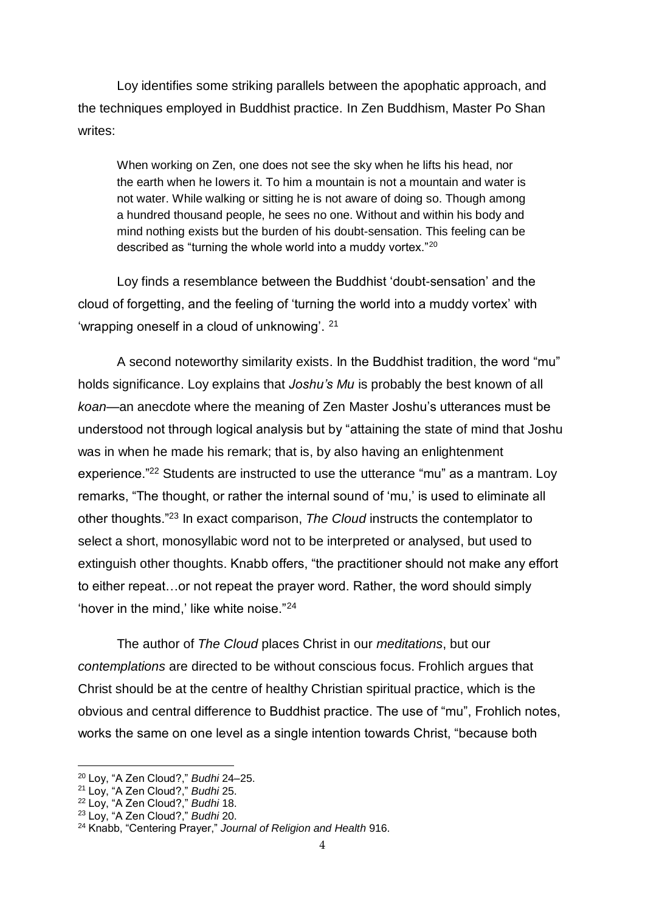Loy identifies some striking parallels between the apophatic approach, and the techniques employed in Buddhist practice. In Zen Buddhism, Master Po Shan writes:

When working on Zen, one does not see the sky when he lifts his head, nor the earth when he lowers it. To him a mountain is not a mountain and water is not water. While walking or sitting he is not aware of doing so. Though among a hundred thousand people, he sees no one. Without and within his body and mind nothing exists but the burden of his doubt-sensation. This feeling can be described as "turning the whole world into a muddy vortex."<sup>20</sup>

Loy finds a resemblance between the Buddhist 'doubt-sensation' and the cloud of forgetting, and the feeling of 'turning the world into a muddy vortex' with 'wrapping oneself in a cloud of unknowing'. <sup>21</sup>

A second noteworthy similarity exists. In the Buddhist tradition, the word "mu" holds significance. Loy explains that *Joshu's Mu* is probably the best known of all *koan*—an anecdote where the meaning of Zen Master Joshu's utterances must be understood not through logical analysis but by "attaining the state of mind that Joshu was in when he made his remark; that is, by also having an enlightenment experience."<sup>22</sup> Students are instructed to use the utterance "mu" as a mantram. Loy remarks, "The thought, or rather the internal sound of 'mu,' is used to eliminate all other thoughts."<sup>23</sup> In exact comparison, *The Cloud* instructs the contemplator to select a short, monosyllabic word not to be interpreted or analysed, but used to extinguish other thoughts. Knabb offers, "the practitioner should not make any effort to either repeat…or not repeat the prayer word. Rather, the word should simply 'hover in the mind,' like white noise."<sup>24</sup>

The author of *The Cloud* places Christ in our *meditations*, but our *contemplations* are directed to be without conscious focus. Frohlich argues that Christ should be at the centre of healthy Christian spiritual practice, which is the obvious and central difference to Buddhist practice. The use of "mu", Frohlich notes, works the same on one level as a single intention towards Christ, "because both

<sup>20</sup> Loy, "A Zen Cloud?," *Budhi* 24–25.

<sup>21</sup> Loy, "A Zen Cloud?," *Budhi* 25.

<sup>22</sup> Loy, "A Zen Cloud?," *Budhi* 18.

<sup>23</sup> Loy, "A Zen Cloud?," *Budhi* 20.

<sup>24</sup> Knabb, "Centering Prayer," *Journal of Religion and Health* 916.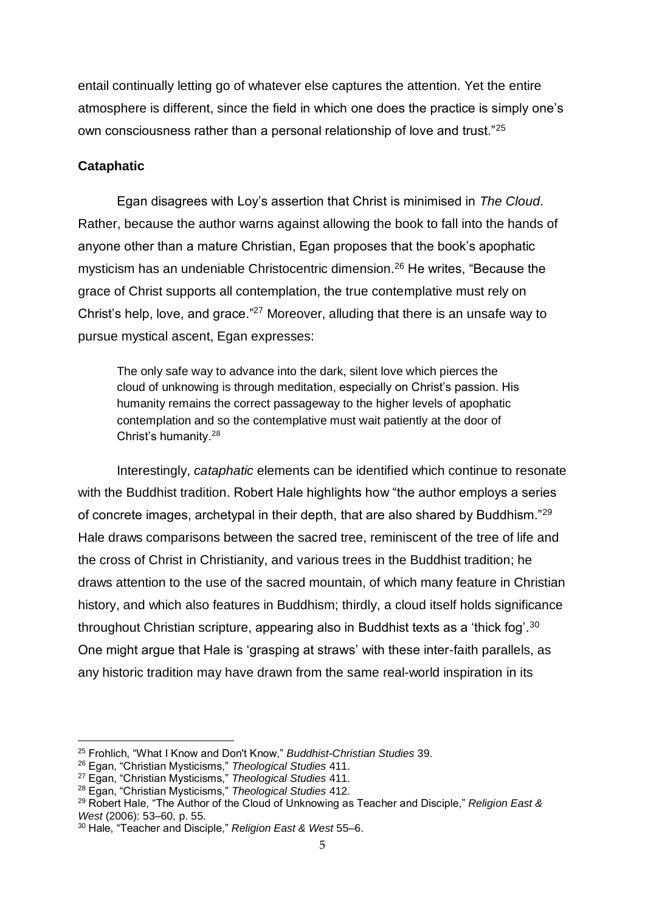entail continually letting go of whatever else captures the attention. Yet the entire atmosphere is different, since the field in which one does the practice is simply one's own consciousness rather than a personal relationship of love and trust."<sup>25</sup>

#### **Cataphatic**

Egan disagrees with Loy's assertion that Christ is minimised in *The Cloud*. Rather, because the author warns against allowing the book to fall into the hands of anyone other than a mature Christian, Egan proposes that the book's apophatic mysticism has an undeniable Christocentric dimension.<sup>26</sup> He writes, "Because the grace of Christ supports all contemplation, the true contemplative must rely on Christ's help, love, and grace."<sup>27</sup> Moreover, alluding that there is an unsafe way to pursue mystical ascent, Egan expresses:

The only safe way to advance into the dark, silent love which pierces the cloud of unknowing is through meditation, especially on Christ's passion. His humanity remains the correct passageway to the higher levels of apophatic contemplation and so the contemplative must wait patiently at the door of Christ's humanity.<sup>28</sup>

Interestingly, *cataphatic* elements can be identified which continue to resonate with the Buddhist tradition. Robert Hale highlights how "the author employs a series" of concrete images, archetypal in their depth, that are also shared by Buddhism."<sup>29</sup> Hale draws comparisons between the sacred tree, reminiscent of the tree of life and the cross of Christ in Christianity, and various trees in the Buddhist tradition; he draws attention to the use of the sacred mountain, of which many feature in Christian history, and which also features in Buddhism; thirdly, a cloud itself holds significance throughout Christian scripture, appearing also in Buddhist texts as a 'thick fog'.<sup>30</sup> One might argue that Hale is 'grasping at straws' with these inter-faith parallels, as any historic tradition may have drawn from the same real-world inspiration in its

<sup>25</sup> Frohlich, "What I Know and Don't Know," *Buddhist-Christian Studies* 39.

<sup>26</sup> Egan, "Christian Mysticisms," *Theological Studies* 411.

<sup>27</sup> Egan, "Christian Mysticisms," *Theological Studies* 411.

<sup>28</sup> Egan, "Christian Mysticisms," *Theological Studies* 412.

<sup>29</sup> Robert Hale, "The Author of the Cloud of Unknowing as Teacher and Disciple," *Religion East & West* (2006): 53–60, p. 55.

<sup>30</sup> Hale, "Teacher and Disciple," *Religion East & West* 55–6.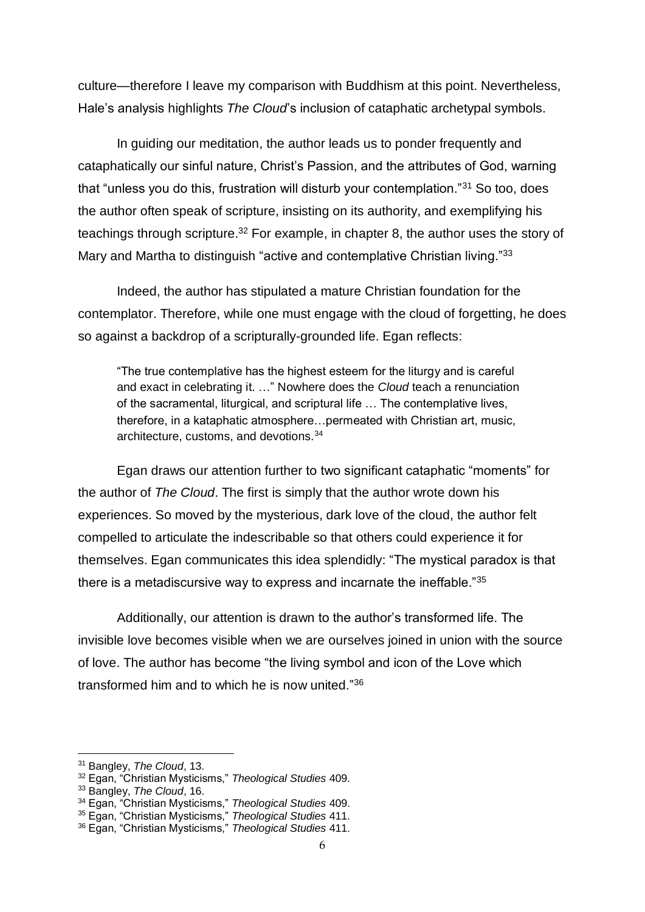culture—therefore I leave my comparison with Buddhism at this point. Nevertheless, Hale's analysis highlights *The Cloud*'s inclusion of cataphatic archetypal symbols.

In guiding our meditation, the author leads us to ponder frequently and cataphatically our sinful nature, Christ's Passion, and the attributes of God, warning that "unless you do this, frustration will disturb your contemplation."<sup>31</sup> So too, does the author often speak of scripture, insisting on its authority, and exemplifying his teachings through scripture.<sup>32</sup> For example, in chapter 8, the author uses the story of Mary and Martha to distinguish "active and contemplative Christian living."33

Indeed, the author has stipulated a mature Christian foundation for the contemplator. Therefore, while one must engage with the cloud of forgetting, he does so against a backdrop of a scripturally-grounded life. Egan reflects:

"The true contemplative has the highest esteem for the liturgy and is careful and exact in celebrating it. …" Nowhere does the *Cloud* teach a renunciation of the sacramental, liturgical, and scriptural life … The contemplative lives, therefore, in a kataphatic atmosphere…permeated with Christian art, music, architecture, customs, and devotions.<sup>34</sup>

Egan draws our attention further to two significant cataphatic "moments" for the author of *The Cloud*. The first is simply that the author wrote down his experiences. So moved by the mysterious, dark love of the cloud, the author felt compelled to articulate the indescribable so that others could experience it for themselves. Egan communicates this idea splendidly: "The mystical paradox is that there is a metadiscursive way to express and incarnate the ineffable."<sup>35</sup>

Additionally, our attention is drawn to the author's transformed life. The invisible love becomes visible when we are ourselves joined in union with the source of love. The author has become "the living symbol and icon of the Love which transformed him and to which he is now united."<sup>36</sup>

<sup>31</sup> Bangley, *The Cloud*, 13.

<sup>32</sup> Egan, "Christian Mysticisms," *Theological Studies* 409.

<sup>33</sup> Bangley, *The Cloud*, 16.

<sup>34</sup> Egan, "Christian Mysticisms," *Theological Studies* 409.

<sup>35</sup> Egan, "Christian Mysticisms," *Theological Studies* 411.

<sup>36</sup> Egan, "Christian Mysticisms," *Theological Studies* 411.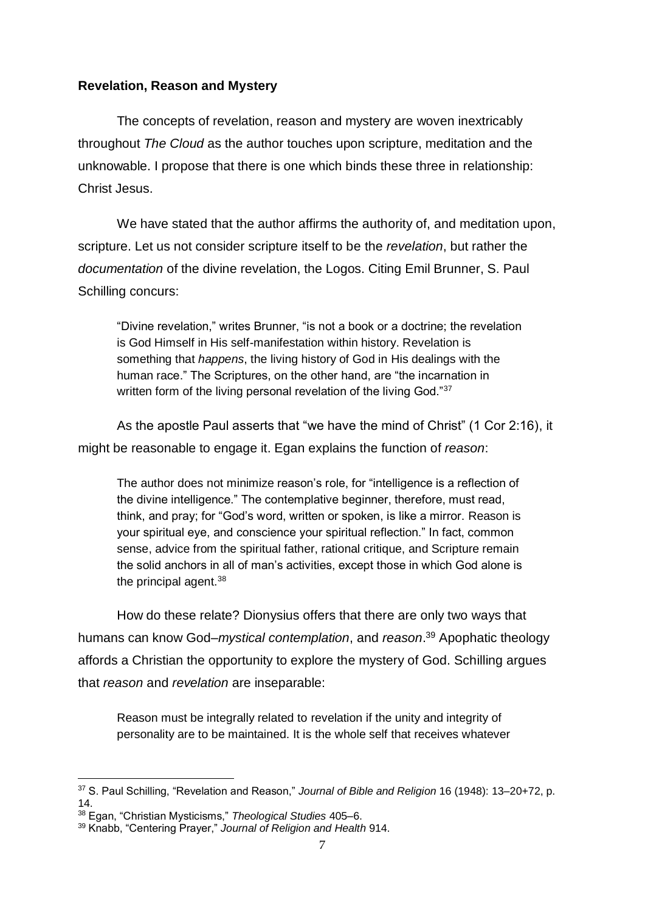#### **Revelation, Reason and Mystery**

The concepts of revelation, reason and mystery are woven inextricably throughout *The Cloud* as the author touches upon scripture, meditation and the unknowable. I propose that there is one which binds these three in relationship: Christ Jesus.

We have stated that the author affirms the authority of, and meditation upon, scripture. Let us not consider scripture itself to be the *revelation*, but rather the *documentation* of the divine revelation, the Logos. Citing Emil Brunner, S. Paul Schilling concurs:

"Divine revelation," writes Brunner, "is not a book or a doctrine; the revelation is God Himself in His self-manifestation within history. Revelation is something that *happens*, the living history of God in His dealings with the human race." The Scriptures, on the other hand, are "the incarnation in written form of the living personal revelation of the living God."37

As the apostle Paul asserts that "we have the mind of Christ" (1 Cor 2:16), it might be reasonable to engage it. Egan explains the function of *reason*:

The author does not minimize reason's role, for "intelligence is a reflection of the divine intelligence." The contemplative beginner, therefore, must read, think, and pray; for "God's word, written or spoken, is like a mirror. Reason is your spiritual eye, and conscience your spiritual reflection." In fact, common sense, advice from the spiritual father, rational critique, and Scripture remain the solid anchors in all of man's activities, except those in which God alone is the principal agent.<sup>38</sup>

How do these relate? Dionysius offers that there are only two ways that humans can know God–*mystical contemplation*, and *reason*. <sup>39</sup> Apophatic theology affords a Christian the opportunity to explore the mystery of God. Schilling argues that *reason* and *revelation* are inseparable:

Reason must be integrally related to revelation if the unity and integrity of personality are to be maintained. It is the whole self that receives whatever

<sup>37</sup> S. Paul Schilling, "Revelation and Reason," *Journal of Bible and Religion* 16 (1948): 13–20+72, p. 14.

<sup>38</sup> Egan, "Christian Mysticisms," *Theological Studies* 405–6.

<sup>39</sup> Knabb, "Centering Prayer," *Journal of Religion and Health* 914.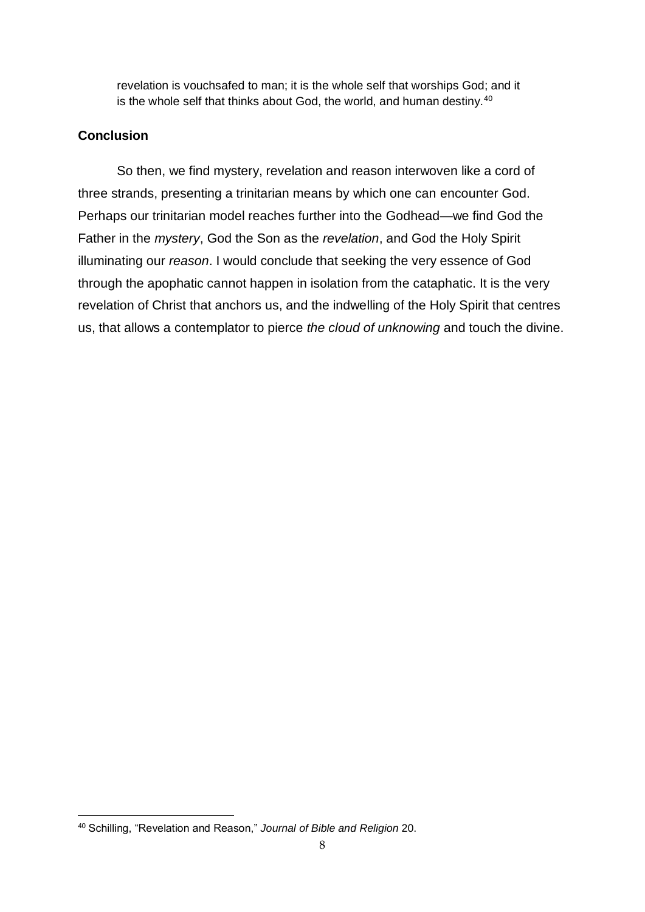revelation is vouchsafed to man; it is the whole self that worships God; and it is the whole self that thinks about God, the world, and human destiny.<sup>40</sup>

## **Conclusion**

1

So then, we find mystery, revelation and reason interwoven like a cord of three strands, presenting a trinitarian means by which one can encounter God. Perhaps our trinitarian model reaches further into the Godhead—we find God the Father in the *mystery*, God the Son as the *revelation*, and God the Holy Spirit illuminating our *reason*. I would conclude that seeking the very essence of God through the apophatic cannot happen in isolation from the cataphatic. It is the very revelation of Christ that anchors us, and the indwelling of the Holy Spirit that centres us, that allows a contemplator to pierce *the cloud of unknowing* and touch the divine.

<sup>40</sup> Schilling, "Revelation and Reason," *Journal of Bible and Religion* 20.